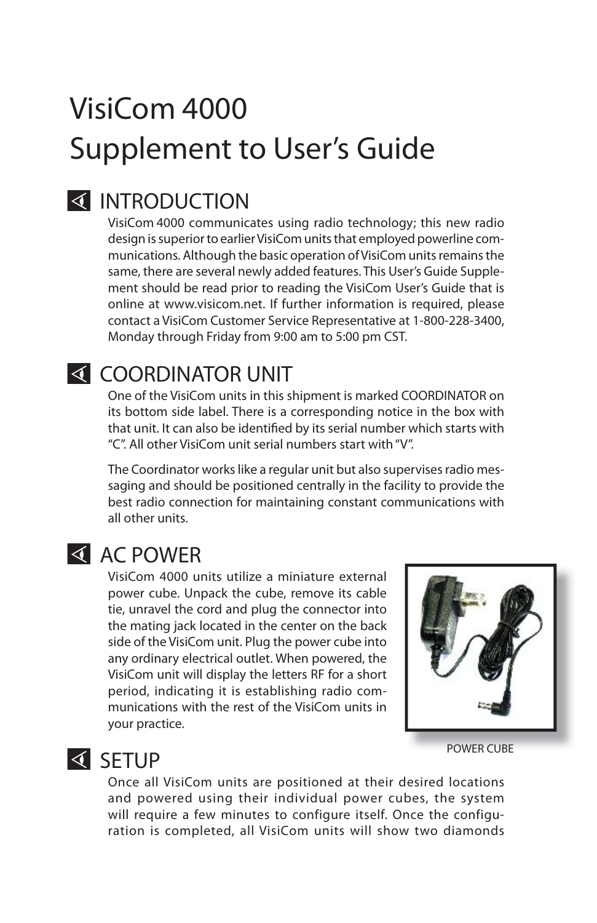## VisiCom 4000 Supplement to User's Guide

#### **INTRODUCTION**

VisiCom 4000 communicates using radio technology; this new radio design is superior to earlier VisiCom units that employed powerline communications. Although the basic operation of VisiCom units remains the same, there are several newly added features. This User's Guide Supplement should be read prior to reading the VisiCom User's Guide that is online at www.visicom.net. If further information is required, please contact a VisiCom Customer Service Representative at 1-800-228-3400, Monday through Friday from 9:00 am to 5:00 pm CST.

#### **SECOORDINATOR UNIT**

One of the VisiCom units in this shipment is marked COORDINATOR on its bottom side label. There is a corresponding notice in the box with that unit. It can also be identified by its serial number which starts with "C". All other VisiCom unit serial numbers start with "V".

The Coordinator works like a regular unit but also supervises radio messaging and should be positioned centrally in the facility to provide the best radio connection for maintaining constant communications with all other units.

#### **AC POWER**

VisiCom 4000 units utilize a miniature external power cube. Unpack the cube, remove its cable tie, unravel the cord and plug the connector into the mating jack located in the center on the back side of the VisiCom unit. Plug the power cube into any ordinary electrical outlet. When powered, the VisiCom unit will display the letters RF for a short period, indicating it is establishing radio communications with the rest of the VisiCom units in your practice.



POWER CUBE

#### **SETUP**

Once all VisiCom units are positioned at their desired locations and powered using their individual power cubes, the system will require a few minutes to configure itself. Once the configuration is completed, all VisiCom units will show two diamonds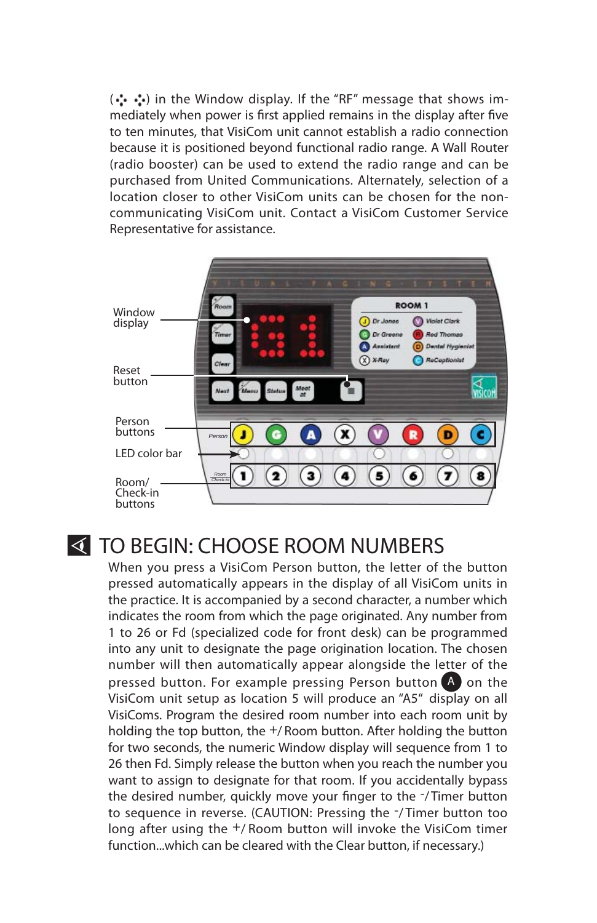(.\*. : ) in the Window display. If the "RF" message that shows immediately when power is first applied remains in the display after five to ten minutes, that VisiCom unit cannot establish a radio connection because it is positioned beyond functional radio range. A Wall Router (radio booster) can be used to extend the radio range and can be purchased from United Communications. Alternately, selection of a location closer to other VisiCom units can be chosen for the noncommunicating VisiCom unit. Contact a VisiCom Customer Service Representative for assistance.



#### **TO BEGIN: CHOOSE ROOM NUMBERS**

When you press a VisiCom Person button, the letter of the button pressed automatically appears in the display of all VisiCom units in the practice. It is accompanied by a second character, a number which indicates the room from which the page originated. Any number from 1 to 26 or Fd (specialized code for front desk) can be programmed into any unit to designate the page origination location. The chosen number will then automatically appear alongside the letter of the pressed button. For example pressing Person button  $\overline{A}$  on the VisiCom unit setup as location 5 will produce an "A5" display on all VisiComs. Program the desired room number into each room unit by holding the top button, the  $+/$  Room button. After holding the button for two seconds, the numeric Window display will sequence from 1 to 26 then Fd. Simply release the button when you reach the number you want to assign to designate for that room. If you accidentally bypass the desired number, quickly move your finger to the -/Timer button to sequence in reverse. (CAUTION: Pressing the -/ Timer button too long after using the +/ Room button will invoke the VisiCom timer function...which can be cleared with the Clear button, if necessary.)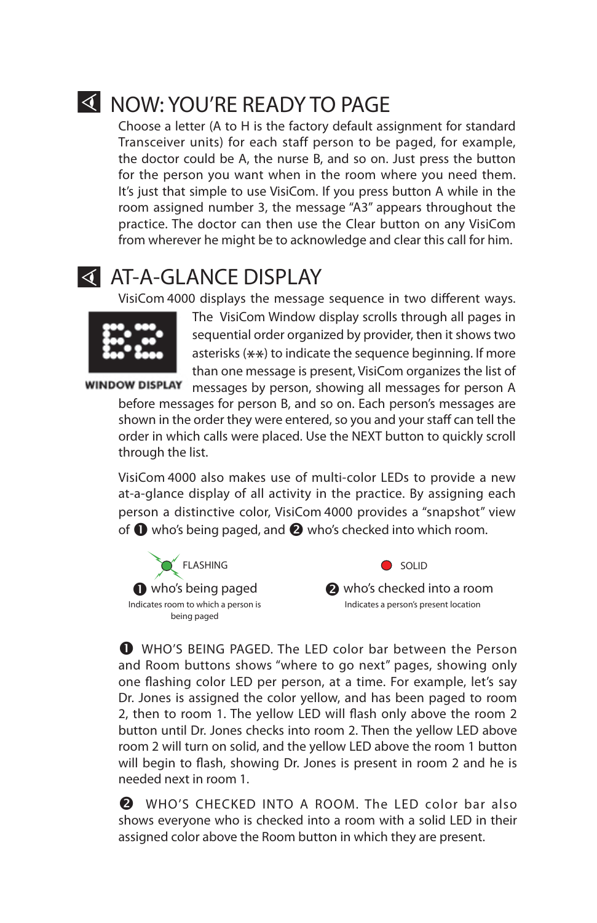### **K** NOW: YOU'RE READY TO PAGE

Choose a letter (A to H is the factory default assignment for standard Transceiver units) for each staff person to be paged, for example, the doctor could be A, the nurse B, and so on. Just press the button for the person you want when in the room where you need them. It's just that simple to use VisiCom. If you press button A while in the room assigned number 3, the message "A3" appears throughout the practice. The doctor can then use the Clear button on any VisiCom from wherever he might be to acknowledge and clear this call for him.

#### **THE AT-A-GLANCE DISPLAY**

VisiCom 4000 displays the message sequence in two different ways.



The VisiCom Window display scrolls through all pages in sequential order organized by provider, then it shows two asterisks  $(**)$  to indicate the sequence beginning. If more than one message is present, VisiCom organizes the list of

window DISPLAY messages by person, showing all messages for person A before messages for person B, and so on. Each person's messages are shown in the order they were entered, so you and your staff can tell the order in which calls were placed. Use the NEXT button to quickly scroll through the list.

VisiCom 4000 also makes use of multi-color LEDs to provide a new at-a-glance display of all activity in the practice. By assigning each person a distinctive color, VisiCom 4000 provides a "snapshot" view of  $\bullet$  who's being paged, and  $\bullet$  who's checked into which room.



**A** who's checked into a room Indicates a person's present location  $\bullet$  SOLID

 WHO'S BEING PAGED. The LED color bar between the Person and Room buttons shows "where to go next" pages, showing only one flashing color LED per person, at a time. For example, let's say Dr. Jones is assigned the color yellow, and has been paged to room 2, then to room 1. The yellow LED will flash only above the room 2 button until Dr. Jones checks into room 2. Then the yellow LED above room 2 will turn on solid, and the yellow LED above the room 1 button will begin to flash, showing Dr. Jones is present in room 2 and he is needed next in room 1.

**2** WHO'S CHECKED INTO A ROOM. The LED color bar also shows everyone who is checked into a room with a solid LED in their assigned color above the Room button in which they are present.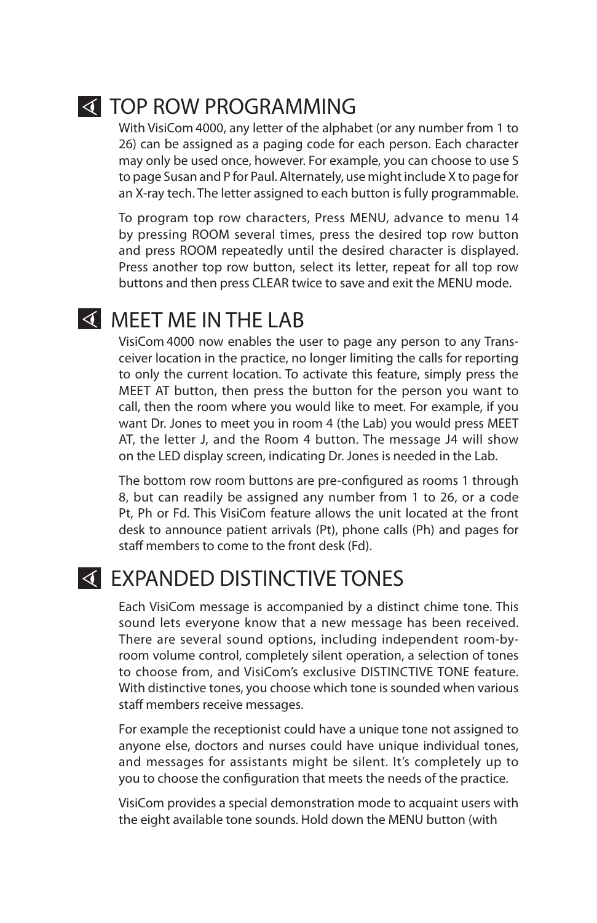

#### **TOP ROW PROGRAMMING**

With VisiCom 4000, any letter of the alphabet (or any number from 1 to 26) can be assigned as a paging code for each person. Each character may only be used once, however. For example, you can choose to use S to page Susan and P for Paul. Alternately, use might include X to page for an X-ray tech. The letter assigned to each button is fully programmable.

To program top row characters, Press MENU, advance to menu 14 by pressing ROOM several times, press the desired top row button and press ROOM repeatedly until the desired character is displayed. Press another top row button, select its letter, repeat for all top row buttons and then press CLEAR twice to save and exit the MENU mode.

#### **K** MEET ME IN THE LAB

VisiCom 4000 now enables the user to page any person to any Transceiver location in the practice, no longer limiting the calls for reporting to only the current location. To activate this feature, simply press the MEET AT button, then press the button for the person you want to call, then the room where you would like to meet. For example, if you want Dr. Jones to meet you in room 4 (the Lab) you would press MEET AT, the letter J, and the Room 4 button. The message J4 will show on the LED display screen, indicating Dr. Jones is needed in the Lab.

The bottom row room buttons are pre-configured as rooms 1 through 8, but can readily be assigned any number from 1 to 26, or a code Pt, Ph or Fd. This VisiCom feature allows the unit located at the front desk to announce patient arrivals (Pt), phone calls (Ph) and pages for staff members to come to the front desk (Fd).

#### **EXPANDED DISTINCTIVE TONES**

Each VisiCom message is accompanied by a distinct chime tone. This sound lets everyone know that a new message has been received. There are several sound options, including independent room-byroom volume control, completely silent operation, a selection of tones to choose from, and VisiCom's exclusive DISTINCTIVE TONE feature. With distinctive tones, you choose which tone is sounded when various staff members receive messages.

For example the receptionist could have a unique tone not assigned to anyone else, doctors and nurses could have unique individual tones, and messages for assistants might be silent. It's completely up to you to choose the configuration that meets the needs of the practice.

VisiCom provides a special demonstration mode to acquaint users with the eight available tone sounds. Hold down the MENU button (with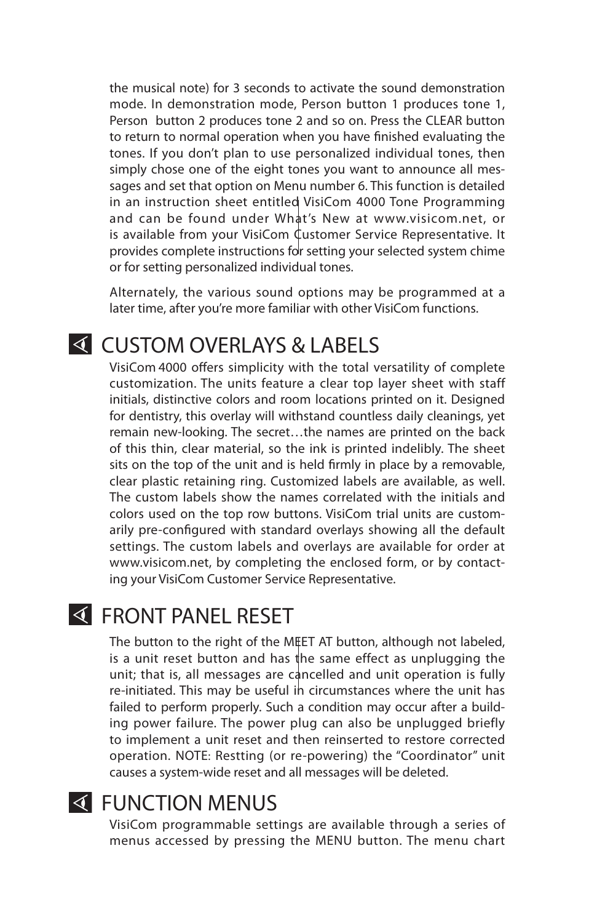the musical note) for 3 seconds to activate the sound demonstration mode. In demonstration mode, Person button 1 produces tone 1, Person button 2 produces tone 2 and so on. Press the CLEAR button to return to normal operation when you have finished evaluating the tones. If you don't plan to use personalized individual tones, then simply chose one of the eight tones you want to announce all messages and set that option on Menu number 6. This function is detailed in an instruction sheet entitled VisiCom 4000 Tone Programming and can be found under What's New at www.visicom.net, or is available from your VisiCom  $\mathbf 1$ ustomer Service Representative. It provides complete instructions for setting your selected system chime or for setting personalized individual tones.

Alternately, the various sound options may be programmed at a later time, after you're more familiar with other VisiCom functions.

#### **K CUSTOM OVERLAYS & LABELS**

VisiCom 4000 offers simplicity with the total versatility of complete customization. The units feature a clear top layer sheet with staff initials, distinctive colors and room locations printed on it. Designed for dentistry, this overlay will withstand countless daily cleanings, yet remain new-looking. The secret…the names are printed on the back of this thin, clear material, so the ink is printed indelibly. The sheet sits on the top of the unit and is held firmly in place by a removable, clear plastic retaining ring. Customized labels are available, as well. The custom labels show the names correlated with the initials and colors used on the top row buttons. VisiCom trial units are customarily pre-configured with standard overlays showing all the default settings. The custom labels and overlays are available for order at www.visicom.net, by completing the enclosed form, or by contacting your VisiCom Customer Service Representative.

#### **K FRONT PANEL RESET**

The button to the right of the MEET AT button, although not labeled, is a unit reset button and has the same effect as unplugging the unit; that is, all messages are cancelled and unit operation is fully re-initiated. This may be useful in circumstances where the unit has failed to perform properly. Such a condition may occur after a building power failure. The power plug can also be unplugged briefly to implement a unit reset and then reinserted to restore corrected operation. NOTE: Restting (or re-powering) the "Coordinator" unit causes a system-wide reset and all messages will be deleted.

#### **K** FUNCTION MENUS

VisiCom programmable settings are available through a series of menus accessed by pressing the MENU button. The menu chart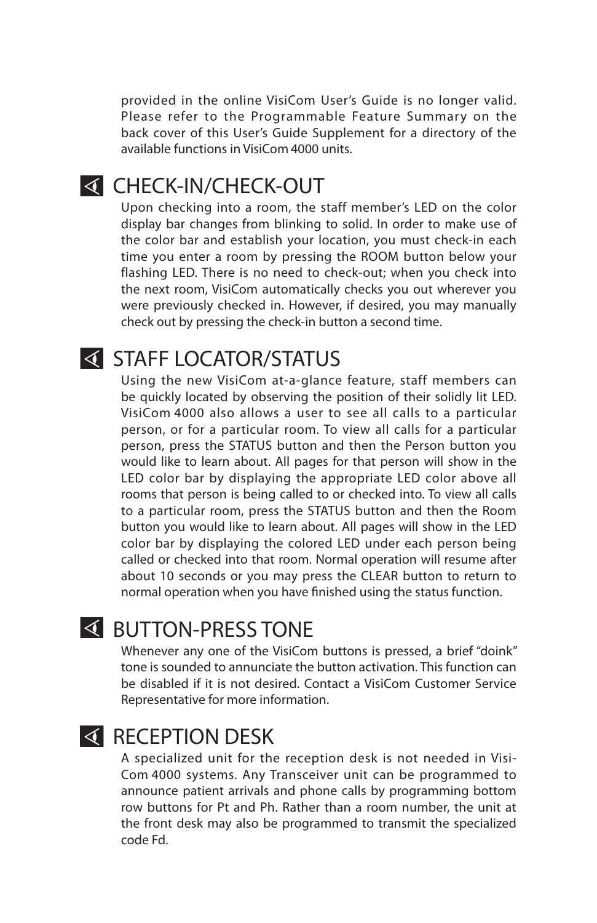provided in the online VisiCom User's Guide is no longer valid. Please refer to the Programmable Feature Summary on the back cover of this User's Guide Supplement for a directory of the available functions in VisiCom 4000 units.

#### **K CHECK-IN/CHECK-OUT**

Upon checking into a room, the staff member's LED on the color display bar changes from blinking to solid. In order to make use of the color bar and establish your location, you must check-in each time you enter a room by pressing the ROOM button below your flashing LED. There is no need to check-out; when you check into the next room, VisiCom automatically checks you out wherever you were previously checked in. However, if desired, you may manually check out by pressing the check-in button a second time.

#### **STAFF LOCATOR/STATUS**

Using the new VisiCom at-a-glance feature, staff members can be quickly located by observing the position of their solidly lit LED. VisiCom 4000 also allows a user to see all calls to a particular person, or for a particular room. To view all calls for a particular person, press the STATUS button and then the Person button you would like to learn about. All pages for that person will show in the LED color bar by displaying the appropriate LED color above all rooms that person is being called to or checked into. To view all calls to a particular room, press the STATUS button and then the Room button you would like to learn about. All pages will show in the LED color bar by displaying the colored LED under each person being called or checked into that room. Normal operation will resume after about 10 seconds or you may press the CLEAR button to return to normal operation when you have finished using the status function.

#### **BUTTON-PRESS TONE**

Whenever any one of the VisiCom buttons is pressed, a brief "doink" tone is sounded to annunciate the button activation. This function can be disabled if it is not desired. Contact a VisiCom Customer Service Representative for more information.

#### **K** RECEPTION DESK

A specialized unit for the reception desk is not needed in Visi-Com 4000 systems. Any Transceiver unit can be programmed to announce patient arrivals and phone calls by programming bottom row buttons for Pt and Ph. Rather than a room number, the unit at the front desk may also be programmed to transmit the specialized code Fd.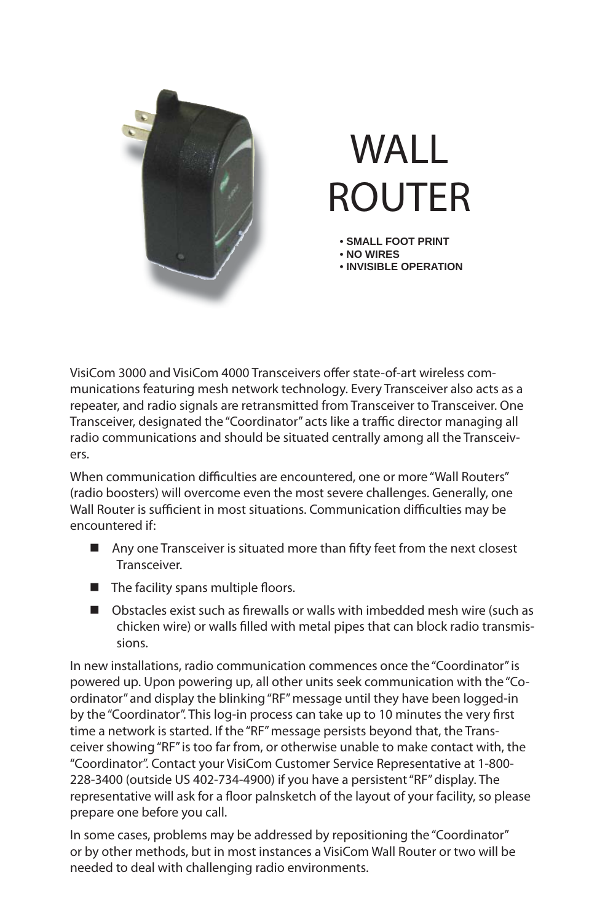

# WALL ROUTER

- **SMALL FOOT PRINT**
- **NO WIRES**
- **INVISIBLE OPERATION**

VisiCom 3000 and VisiCom 4000 Transceivers offer state-of-art wireless communications featuring mesh network technology. Every Transceiver also acts as a repeater, and radio signals are retransmitted from Transceiver to Transceiver. One Transceiver, designated the "Coordinator" acts like a traffic director managing all radio communications and should be situated centrally among all the Transceivers.

When communication difficulties are encountered, one or more "Wall Routers" (radio boosters) will overcome even the most severe challenges. Generally, one Wall Router is sufficient in most situations. Communication difficulties may be encountered if:

- $\blacksquare$  Any one Transceiver is situated more than fifty feet from the next closest Transceiver.
- $\blacksquare$  The facility spans multiple floors.
- $\Box$  Obstacles exist such as firewalls or walls with imbedded mesh wire (such as chicken wire) or walls filled with metal pipes that can block radio transmissions.

In new installations, radio communication commences once the "Coordinator" is powered up. Upon powering up, all other units seek communication with the "Coordinator" and display the blinking "RF" message until they have been logged-in by the "Coordinator". This log-in process can take up to 10 minutes the very first time a network is started. If the "RF" message persists beyond that, the Transceiver showing "RF" is too far from, or otherwise unable to make contact with, the "Coordinator". Contact your VisiCom Customer Service Representative at 1-800- 228-3400 (outside US 402-734-4900) if you have a persistent "RF" display. The representative will ask for a floor palnsketch of the layout of your facility, so please prepare one before you call.

In some cases, problems may be addressed by repositioning the "Coordinator" or by other methods, but in most instances a VisiCom Wall Router or two will be needed to deal with challenging radio environments.